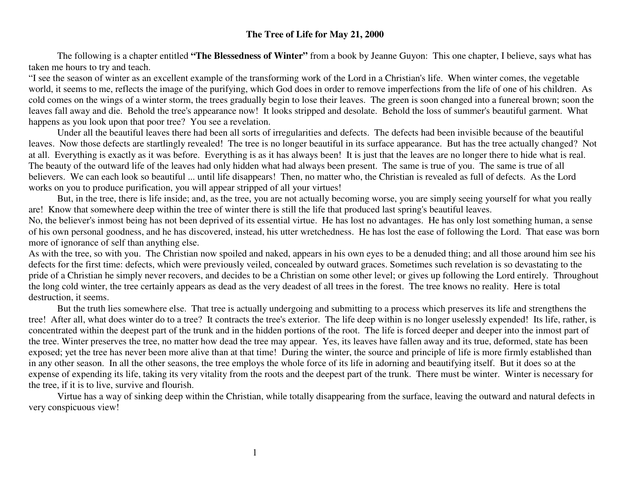## **The Tree of Life for May 21, 2000**

The following is <sup>a</sup> chapter entitled **"The Blessedness of Winter"** from <sup>a</sup> book by Jeanne Guyon: This one chapter, I believe, says what has taken me hours to try and teach.

"I see the season of winter as an excellent example of the transforming work of the Lord in <sup>a</sup> Christian's life. When winter comes, the vegetable world, it seems to me, reflects the image of the purifying, which God does in order to remove imperfections from the life of one of his children. As cold comes on the wings of <sup>a</sup> winter storm, the trees gradually begin to lose their leaves. The green is soon changed into <sup>a</sup> funereal brown; soon the leaves fall away and die. Behold the tree's appearance now! It looks stripped and desolate. Behold the loss of summer's beautiful garment. What happens as you look upon that poor tree? You see <sup>a</sup> revelation.

Under all the beautiful leaves there had been all sorts of irregularities and defects. The defects had been invisible because of the beautiful leaves. Now those defects are startlingly revealed! The tree is no longer beautiful in its surface appearance. But has the tree actually changed? Not at all. Everything is exactly as it was before. Everything is as it has always been! It is just that the leaves are no longer there to hide what is real. The beauty of the outward life of the leaves had only hidden what had always been present. The same is true of you. The same is true of all believers. We can each look so beautiful ... until life disappears! Then, no matter who, the Christian is revealed as full of defects. As the Lord works on you to produce purification, you will appear stripped of all your virtues!

But, in the tree, there is life inside; and, as the tree, you are not actually becoming worse, you are simply seeing yourself for what you really are! Know that somewhere deep within the tree of winter there is still the life that produced last spring's beautiful leaves.

No, the believer's inmost being has not been deprived of its essential virtue. He has lost no advantages. He has only lost something human, <sup>a</sup> sense of his own personal goodness, and he has discovered, instead, his utter wretchedness. He has lost the ease of following the Lord. That ease was born more of ignorance of self than anything else.

As with the tree, so with you. The Christian now spoiled and naked, appears in his own eyes to be <sup>a</sup> denuded thing; and all those around him see his defects for the first time: defects, which were previously veiled, concealed by outward graces. Sometimes such revelation is so devastating to the pride of <sup>a</sup> Christian he simply never recovers, and decides to be <sup>a</sup> Christian on some other level; or gives up following the Lord entirely. Throughout the long cold winter, the tree certainly appears as dead as the very deadest of all trees in the forest. The tree knows no reality. Here is total destruction, it seems.

But the truth lies somewhere else. That tree is actually undergoing and submitting to <sup>a</sup> process which preserves its life and strengthens the tree! After all, what does winter do to <sup>a</sup> tree? It contracts the tree's exterior. The life deep within is no longer uselessly expended! Its life, rather, is concentrated within the deepest par<sup>t</sup> of the trunk and in the hidden portions of the root. The life is forced deeper and deeper into the inmost par<sup>t</sup> of the tree. Winter preserves the tree, no matter how dead the tree may appear. Yes, its leaves have fallen away and its true, deformed, state has been exposed; ye<sup>t</sup> the tree has never been more alive than at that time! During the winter, the source and principle of life is more firmly established than in any other season. In all the other seasons, the tree employs the whole force of its life in adorning and beautifying itself. But it does so at the expense of expending its life, taking its very vitality from the roots and the deepest par<sup>t</sup> of the trunk. There must be winter. Winter is necessary for the tree, if it is to live, survive and flourish.

Virtue has <sup>a</sup> way of sinking deep within the Christian, while totally disappearing from the surface, leaving the outward and natural defects in very conspicuous view!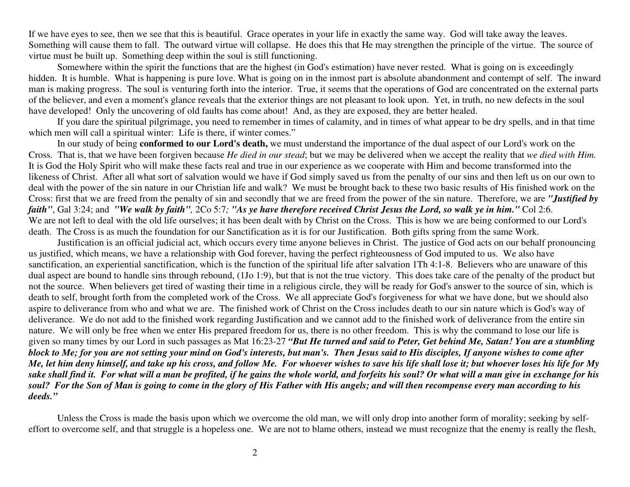If we have eyes to see, then we see that this is beautiful. Grace operates in your life in exactly the same way. God will take away the leaves. Something will cause them to fall. The outward virtue will collapse. He does this that He may strengthen the principle of the virtue. The source of virtue must be built up. Something deep within the soul is still functioning.

Somewhere within the spirit the functions that are the highest (in God's estimation) have never rested. What is going on is exceedingly hidden. It is humble. What is happening is pure love. What is going on in the inmost par<sup>t</sup> is absolute abandonment and contempt of self. The inward man is making progress. The soul is venturing forth into the interior. True, it seems that the operations of God are concentrated on the external parts of the believer, and even <sup>a</sup> moment's glance reveals that the exterior things are not pleasant to look upon. Yet, in truth, no new defects in the soul have developed! Only the uncovering of old faults has come about! And, as they are exposed, they are better healed.

If you dare the spiritual pilgrimage, you need to remember in times of calamity, and in times of what appear to be dry spells, and in that time which men will call <sup>a</sup> spiritual winter: Life is there, if winter comes."

In our study of being **conformed to our Lord's death,** we must understand the importance of the dual aspec<sup>t</sup> of our Lord's work on the Cross. That is, that we have been forgiven because *He died in our stead*; but we may be delivered when we accep<sup>t</sup> the reality that *we died with Him.* It is God the Holy Spirit who will make these facts real and true in our experience as we cooperate with Him and become transformed into the likeness of Christ. After all what sort of salvation would we have if God simply saved us from the penalty of our sins and then left us on our own to deal with the power of the sin nature in our Christian life and walk? We must be brought back to these two basic results of His finished work on the Cross: first that we are freed from the penalty of sin and secondly that we are freed from the power of the sin nature. Therefore, we are *"Justified by* faith", Gal 3:24; and "We walk by faith", 2Co 5:7; "As ye have therefore received Christ Jesus the Lord, so walk ye in him." Col 2:6. We are not left to deal with the old life ourselves; it has been dealt with by Christ on the Cross. This is how we are being conformed to our Lord's death. The Cross is as much the foundation for our Sanctification as it is for our Justification. Both gifts spring from the same Work.

Justification is an official judicial act, which occurs every time anyone believes in Christ. The justice of God acts on our behalf pronouncing us justified, which means, we have <sup>a</sup> relationship with God forever, having the perfect righteousness of God imputed to us. We also have sanctification, an experiential sanctification, which is the function of the spiritual life after salvation 1Th 4:1-8. Believers who are unaware of this dual aspec<sup>t</sup> are bound to handle sins through rebound, (1Jo 1:9), but that is not the true victory. This does take care of the penalty of the product but not the source. When believers ge<sup>t</sup> tired of wasting their time in <sup>a</sup> religious circle, they will be ready for God's answer to the source of sin, which is death to self, brought forth from the completed work of the Cross. We all appreciate God's forgiveness for what we have done, but we should also aspire to deliverance from who and what we are. The finished work of Christ on the Cross includes death to our sin nature which is God's way of deliverance. We do not add to the finished work regarding Justification and we cannot add to the finished work of deliverance from the entire sin nature. We will only be free when we enter His prepared freedom for us, there is no other freedom. This is why the command to lose our life is given so many times by our Lord in such passages as Mat 16:23-27 "But He turned and said to Peter, Get behind Me, Satan! You are a stumbling block to Me; for you are not setting your mind on God's interests, but man's. Then Jesus said to His disciples, If anyone wishes to come after Me, let him deny himself, and take up his cross, and follow Me. For whoever wishes to save his life shall lose it; but whoever loses his life for My sake shall find it. For what will a man be profited, if he gains the whole world, and forfeits his soul? Or what will a man give in exchange for his soul? For the Son of Man is going to come in the glory of His Father with His angels; and will then recompense every man according to his *deeds."*

Unless the Cross is made the basis upon which we overcome the old man, we will only drop into another form of morality; seeking by selfeffort to overcome self, and that struggle is <sup>a</sup> hopeless one. We are not to blame others, instead we must recognize that the enemy is really the flesh,